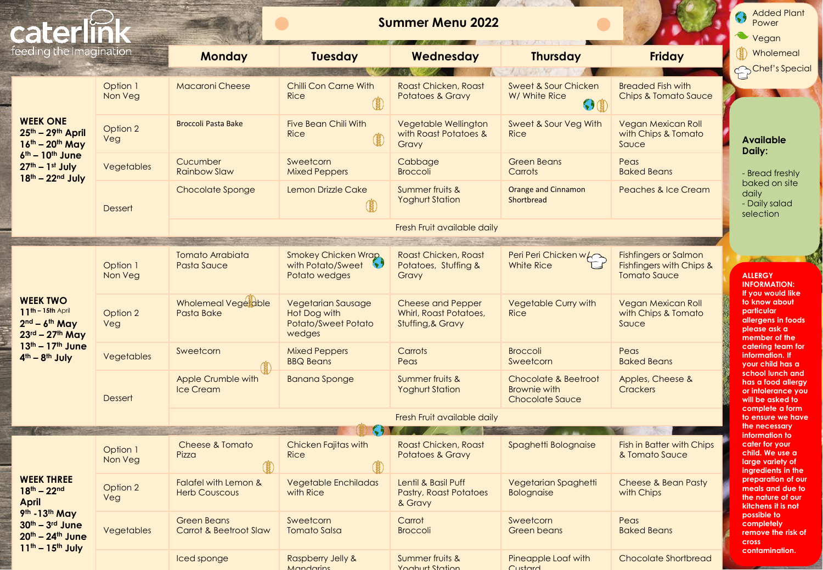| caterlir                                                                                                                                      |                     | <b>Summer Menu 2022</b>                      |                                                                            |                                                                         |                                                                  |                                                                                 |                                                                                                                                                                     |
|-----------------------------------------------------------------------------------------------------------------------------------------------|---------------------|----------------------------------------------|----------------------------------------------------------------------------|-------------------------------------------------------------------------|------------------------------------------------------------------|---------------------------------------------------------------------------------|---------------------------------------------------------------------------------------------------------------------------------------------------------------------|
| feeding the imagination                                                                                                                       |                     | <b>Monday</b>                                | <b>Tuesday</b>                                                             | Wednesday                                                               | <b>Thursday</b>                                                  | <b>Friday</b>                                                                   | Wholemeal<br>Chef's Special                                                                                                                                         |
| <b>WEEK ONE</b><br>25th - 29th April<br>$16^{th} - 20^{th}$ May<br>$6th - 10th$ June<br>$27th - 1st$ July<br>$18th - 22nd$ July               | Option 1<br>Non Veg | <b>Macaroni Cheese</b>                       | <b>Chilli Con Carne With</b><br><b>Rice</b>                                | Roast Chicken, Roast<br><b>Potatoes &amp; Gravy</b>                     | <b>Sweet &amp; Sour Chicken</b><br>W/ White Rice<br>$\Theta$ (i) | <b>Breaded Fish with</b><br><b>Chips &amp; Tomato Sauce</b>                     |                                                                                                                                                                     |
|                                                                                                                                               | Option 2<br>Veg     | <b>Broccoli Pasta Bake</b>                   | <b>Five Bean Chili With</b><br><b>Rice</b>                                 | Vegetable Wellington<br>with Roast Potatoes &<br>Gravy                  | Sweet & Sour Veg With<br><b>Rice</b>                             | Vegan Mexican Roll<br>with Chips & Tomato<br>Sauce                              | <b>Available</b><br>Daily:<br>- Bread freshly                                                                                                                       |
|                                                                                                                                               | Vegetables          | Cucumber<br><b>Rainbow Slaw</b>              | Sweetcorn<br><b>Mixed Peppers</b>                                          | Cabbage<br><b>Broccoli</b>                                              | <b>Green Beans</b><br>Carrots                                    | Peas<br><b>Baked Beans</b>                                                      |                                                                                                                                                                     |
|                                                                                                                                               | <b>Dessert</b>      | Chocolate Sponge                             | <b>Lemon Drizzle Cake</b>                                                  | Summer fruits &<br><b>Yoghurt Station</b>                               | <b>Orange and Cinnamon</b><br>Shortbread                         | <b>Peaches &amp; Ice Cream</b>                                                  | baked on site<br>daily<br>- Daily salad<br>selection                                                                                                                |
|                                                                                                                                               |                     | Fresh Fruit available daily                  |                                                                            |                                                                         |                                                                  |                                                                                 |                                                                                                                                                                     |
| <b>WEEK TWO</b><br>$11^{th} - 15th$ April<br>$2nd - 6th$ May<br>$23^{\text{rd}} - 27^{\text{th}}$ May<br>13th - 17th June<br>$4th - 8th$ July | Option 1<br>Non Veg | <b>Tomato Arrabiata</b><br>Pasta Sauce       | <b>Smokey Chicken Wrap,</b><br>with Potato/Sweet \<br>Potato wedges        | Roast Chicken, Roast<br>Potatoes, Stuffing &<br>Gravy                   | Peri Peri Chicken w/<br><b>White Rice</b>                        | <b>Fishfingers or Salmon</b><br>Fishfingers with Chips &<br><b>Tomato Sauce</b> | <b>Property</b><br><b>ALLERGY</b><br><b>INFORMATION:</b>                                                                                                            |
|                                                                                                                                               | Option 2<br>Veg     | Wholemeal Vegetable<br>Pasta Bake            | <b>Vegetarian Sausage</b><br>Hot Dog with<br>Potato/Sweet Potato<br>wedges | <b>Cheese and Pepper</b><br>Whirl, Roast Potatoes,<br>Stuffing, & Gravy | Vegetable Curry with<br><b>Rice</b>                              | <b>Vegan Mexican Roll</b><br>with Chips & Tomato<br>Sauce                       | If you would like<br>to know about<br>particular<br>allergens in foods<br>please ask a<br>member of the<br>catering team for<br>information. If<br>your child has a |
|                                                                                                                                               | Vegetables          | Sweetcorn                                    | <b>Mixed Peppers</b><br><b>BBQ Beans</b>                                   | Carrots<br>Peas                                                         | <b>Broccoli</b><br>Sweetcorn                                     | Peas<br><b>Baked Beans</b>                                                      |                                                                                                                                                                     |
|                                                                                                                                               | <b>Dessert</b>      | Apple Crumble with<br><b>Ice Cream</b>       | <b>Banana Sponge</b>                                                       | Summer fruits &<br><b>Yoghurt Station</b>                               | Chocolate & Beetroot<br><b>Brownie with</b><br>Chocolate Sauce   | Apples, Cheese &<br><b>Crackers</b>                                             | school lunch and<br>has a food allergy<br>or infolerance you<br>will be asked to<br>complete a form                                                                 |
|                                                                                                                                               |                     | Fresh Fruit available daily                  |                                                                            |                                                                         |                                                                  |                                                                                 |                                                                                                                                                                     |
| <b>WEEK THREE</b><br>$18^{th} - 22^{nd}$<br><b>April</b><br>9th - 13th May<br>30th - 3rd June<br>20th - 24th June<br>$11^{th} - 15^{th}$ July | Option 1<br>Non Veg | Cheese & Tomato<br>Pizza                     | Chicken Fajitas with<br><b>Rice</b>                                        | Roast Chicken, Roast<br><b>Potatoes &amp; Gravy</b>                     | Spaghetti Bolognaise                                             | Fish in Batter with Chips<br>& Tomato Sauce                                     | the necessary<br>information to<br>cater for your<br>child. We use a<br>large variety of<br>ingredients in the                                                      |
|                                                                                                                                               | Option 2<br>Veg     | Falafel with Lemon &<br><b>Herb Couscous</b> | <b>Vegetable Enchiladas</b><br>with Rice                                   | Lentil & Basil Puff<br><b>Pastry, Roast Potatoes</b><br>& Gravy         | Vegetarian Spaghetti<br><b>Bolognaise</b>                        | Cheese & Bean Pasty<br>with Chips                                               | preparation of our<br>meals and due to<br>the nature of our<br>kitchens it is not                                                                                   |
|                                                                                                                                               | Vegetables          | <b>Green Beans</b><br>Carrot & Beetroot Slaw | Sweetcorn<br><b>Tomato Salsa</b>                                           | Carrot<br><b>Broccoli</b>                                               | Sweetcorn<br><b>Green beans</b>                                  | Peas<br><b>Baked Beans</b>                                                      | possible to<br>completely<br>remove the risk of<br>cross                                                                                                            |
|                                                                                                                                               |                     | Iced sponge                                  | Raspberry Jelly &                                                          | Summer fruits &                                                         | Pineapple Loaf with                                              | <b>Chocolate Shortbread</b>                                                     | contamination.                                                                                                                                                      |

Yoghurt Station

Custard

**Mandarins** 

**Contract**